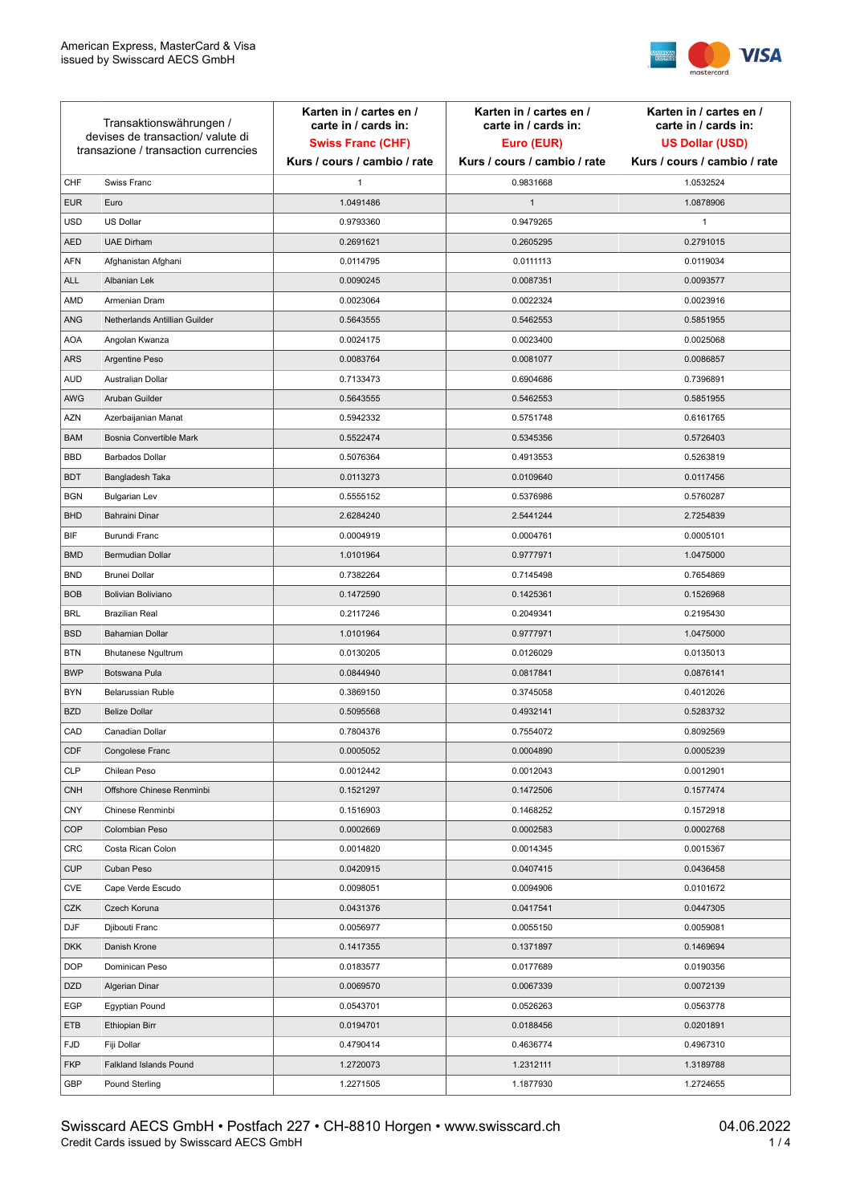

| Transaktionswährungen /<br>devises de transaction/valute di<br>transazione / transaction currencies |                               | Karten in / cartes en /<br>carte in / cards in:<br><b>Swiss Franc (CHF)</b> | Karten in / cartes en /<br>carte in / cards in:<br>Euro (EUR) | Karten in / cartes en /<br>carte in / cards in:<br><b>US Dollar (USD)</b> |
|-----------------------------------------------------------------------------------------------------|-------------------------------|-----------------------------------------------------------------------------|---------------------------------------------------------------|---------------------------------------------------------------------------|
|                                                                                                     |                               | Kurs / cours / cambio / rate                                                | Kurs / cours / cambio / rate                                  | Kurs / cours / cambio / rate                                              |
| CHF                                                                                                 | Swiss Franc                   | 1                                                                           | 0.9831668                                                     | 1.0532524                                                                 |
| <b>EUR</b>                                                                                          | Euro                          | 1.0491486                                                                   | $\mathbf{1}$                                                  | 1.0878906                                                                 |
| <b>USD</b>                                                                                          | <b>US Dollar</b>              | 0.9793360                                                                   | 0.9479265                                                     | $\mathbf{1}$                                                              |
| <b>AED</b>                                                                                          | <b>UAE Dirham</b>             | 0.2691621                                                                   | 0.2605295                                                     | 0.2791015                                                                 |
| <b>AFN</b>                                                                                          | Afghanistan Afghani           | 0.0114795                                                                   | 0.0111113                                                     | 0.0119034                                                                 |
| ALL                                                                                                 | Albanian Lek                  | 0.0090245                                                                   | 0.0087351                                                     | 0.0093577                                                                 |
| AMD                                                                                                 | Armenian Dram                 | 0.0023064                                                                   | 0.0022324                                                     | 0.0023916                                                                 |
| ANG                                                                                                 | Netherlands Antillian Guilder | 0.5643555                                                                   | 0.5462553                                                     | 0.5851955                                                                 |
| <b>AOA</b>                                                                                          | Angolan Kwanza                | 0.0024175                                                                   | 0.0023400                                                     | 0.0025068                                                                 |
| ARS                                                                                                 | Argentine Peso                | 0.0083764                                                                   | 0.0081077                                                     | 0.0086857                                                                 |
| <b>AUD</b>                                                                                          | Australian Dollar             | 0.7133473                                                                   | 0.6904686                                                     | 0.7396891                                                                 |
| AWG                                                                                                 | Aruban Guilder                | 0.5643555                                                                   | 0.5462553                                                     | 0.5851955                                                                 |
| AZN                                                                                                 | Azerbaijanian Manat           | 0.5942332                                                                   | 0.5751748                                                     | 0.6161765                                                                 |
| <b>BAM</b>                                                                                          | Bosnia Convertible Mark       | 0.5522474                                                                   | 0.5345356                                                     | 0.5726403                                                                 |
| <b>BBD</b>                                                                                          | <b>Barbados Dollar</b>        | 0.5076364                                                                   | 0.4913553                                                     | 0.5263819                                                                 |
| <b>BDT</b>                                                                                          | Bangladesh Taka               | 0.0113273                                                                   | 0.0109640                                                     | 0.0117456                                                                 |
| <b>BGN</b>                                                                                          | <b>Bulgarian Lev</b>          | 0.5555152                                                                   | 0.5376986                                                     | 0.5760287                                                                 |
| <b>BHD</b>                                                                                          | Bahraini Dinar                | 2.6284240                                                                   | 2.5441244                                                     | 2.7254839                                                                 |
| BIF                                                                                                 | Burundi Franc                 | 0.0004919                                                                   | 0.0004761                                                     | 0.0005101                                                                 |
| <b>BMD</b>                                                                                          | Bermudian Dollar              | 1.0101964                                                                   | 0.9777971                                                     | 1.0475000                                                                 |
| <b>BND</b>                                                                                          | <b>Brunei Dollar</b>          | 0.7382264                                                                   | 0.7145498                                                     | 0.7654869                                                                 |
| <b>BOB</b>                                                                                          | Bolivian Boliviano            | 0.1472590                                                                   | 0.1425361                                                     | 0.1526968                                                                 |
| <b>BRL</b>                                                                                          | <b>Brazilian Real</b>         | 0.2117246                                                                   | 0.2049341                                                     | 0.2195430                                                                 |
| <b>BSD</b>                                                                                          | <b>Bahamian Dollar</b>        | 1.0101964                                                                   | 0.9777971                                                     | 1.0475000                                                                 |
| <b>BTN</b>                                                                                          | <b>Bhutanese Ngultrum</b>     | 0.0130205                                                                   | 0.0126029                                                     | 0.0135013                                                                 |
| <b>BWP</b>                                                                                          | Botswana Pula                 | 0.0844940                                                                   | 0.0817841                                                     | 0.0876141                                                                 |
| <b>BYN</b>                                                                                          | Belarussian Ruble             | 0.3869150                                                                   | 0.3745058                                                     | 0.4012026                                                                 |
| <b>BZD</b>                                                                                          | <b>Belize Dollar</b>          | 0.5095568                                                                   | 0.4932141                                                     | 0.5283732                                                                 |
| CAD                                                                                                 | Canadian Dollar               | 0.7804376                                                                   | 0.7554072                                                     | 0.8092569                                                                 |
| CDF                                                                                                 | Congolese Franc               | 0.0005052                                                                   | 0.0004890                                                     | 0.0005239                                                                 |
| <b>CLP</b>                                                                                          | Chilean Peso                  | 0.0012442                                                                   | 0.0012043                                                     | 0.0012901                                                                 |
| <b>CNH</b>                                                                                          | Offshore Chinese Renminbi     | 0.1521297                                                                   | 0.1472506                                                     | 0.1577474                                                                 |
| <b>CNY</b>                                                                                          | Chinese Renminbi              | 0.1516903                                                                   | 0.1468252                                                     | 0.1572918                                                                 |
| <b>COP</b>                                                                                          | Colombian Peso                | 0.0002669                                                                   | 0.0002583                                                     | 0.0002768                                                                 |
| CRC                                                                                                 | Costa Rican Colon             | 0.0014820                                                                   | 0.0014345                                                     | 0.0015367                                                                 |
| <b>CUP</b>                                                                                          | Cuban Peso                    | 0.0420915                                                                   | 0.0407415                                                     | 0.0436458                                                                 |
| <b>CVE</b>                                                                                          | Cape Verde Escudo             | 0.0098051                                                                   | 0.0094906                                                     | 0.0101672                                                                 |
| CZK                                                                                                 | Czech Koruna                  | 0.0431376                                                                   | 0.0417541                                                     | 0.0447305                                                                 |
| <b>DJF</b>                                                                                          | Djibouti Franc                | 0.0056977                                                                   | 0.0055150                                                     | 0.0059081                                                                 |
| <b>DKK</b>                                                                                          | Danish Krone                  | 0.1417355                                                                   | 0.1371897                                                     | 0.1469694                                                                 |
| <b>DOP</b>                                                                                          | Dominican Peso                | 0.0183577                                                                   | 0.0177689                                                     | 0.0190356                                                                 |
| <b>DZD</b>                                                                                          | Algerian Dinar                | 0.0069570                                                                   | 0.0067339                                                     | 0.0072139                                                                 |
| EGP                                                                                                 | Egyptian Pound                | 0.0543701                                                                   | 0.0526263                                                     | 0.0563778                                                                 |
| ETB                                                                                                 | Ethiopian Birr                | 0.0194701                                                                   | 0.0188456                                                     | 0.0201891                                                                 |
| <b>FJD</b>                                                                                          | Fiji Dollar                   | 0.4790414                                                                   | 0.4636774                                                     | 0.4967310                                                                 |
| <b>FKP</b>                                                                                          | Falkland Islands Pound        | 1.2720073                                                                   | 1.2312111                                                     | 1.3189788                                                                 |
| GBP                                                                                                 | Pound Sterling                | 1.2271505                                                                   | 1.1877930                                                     | 1.2724655                                                                 |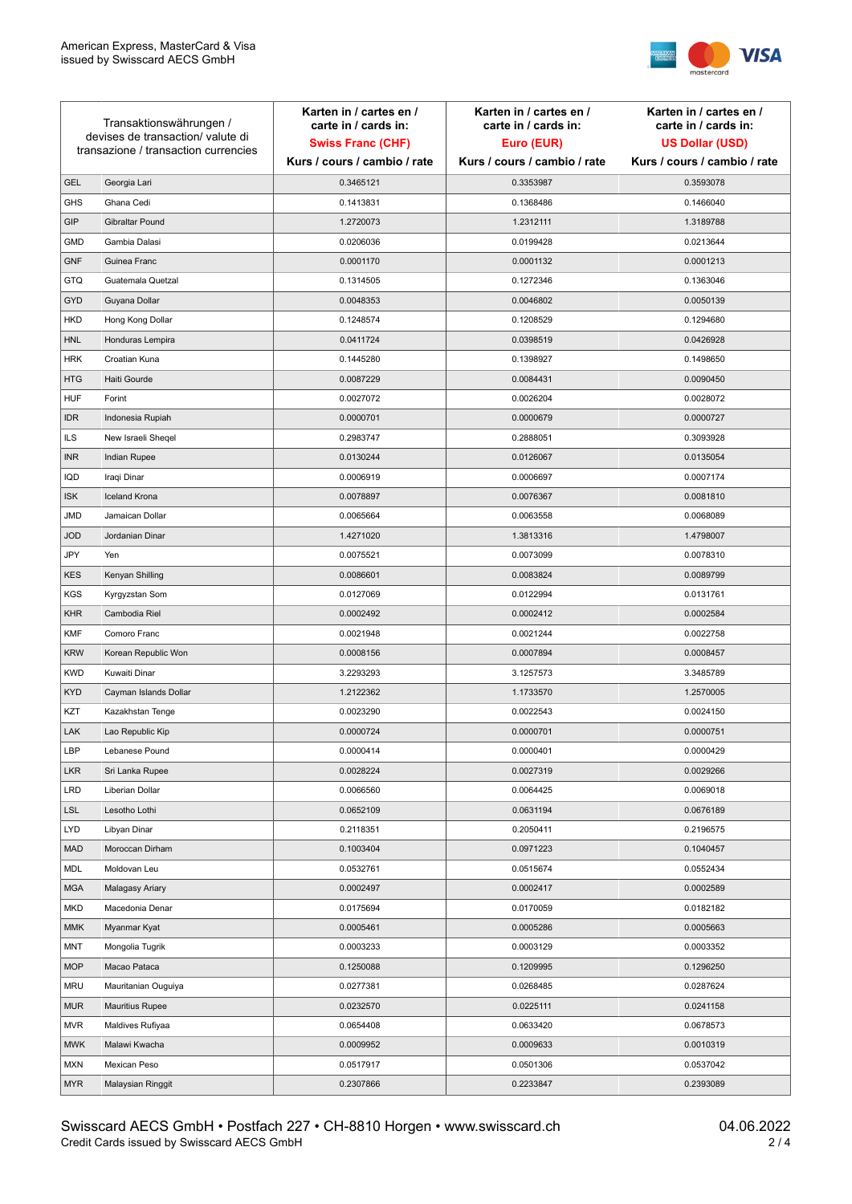

| Transaktionswährungen /<br>devises de transaction/ valute di<br>transazione / transaction currencies |                        | Karten in / cartes en /<br>carte in / cards in: | Karten in / cartes en /<br>carte in / cards in: | Karten in / cartes en /<br>carte in / cards in: |
|------------------------------------------------------------------------------------------------------|------------------------|-------------------------------------------------|-------------------------------------------------|-------------------------------------------------|
|                                                                                                      |                        | <b>Swiss Franc (CHF)</b>                        | Euro (EUR)                                      | <b>US Dollar (USD)</b>                          |
|                                                                                                      |                        | Kurs / cours / cambio / rate                    | Kurs / cours / cambio / rate                    | Kurs / cours / cambio / rate                    |
| <b>GEL</b>                                                                                           | Georgia Lari           | 0.3465121                                       | 0.3353987                                       | 0.3593078                                       |
| <b>GHS</b>                                                                                           | Ghana Cedi             | 0.1413831                                       | 0.1368486                                       | 0.1466040                                       |
| GIP                                                                                                  | Gibraltar Pound        | 1.2720073                                       | 1.2312111                                       | 1.3189788                                       |
| <b>GMD</b>                                                                                           | Gambia Dalasi          | 0.0206036                                       | 0.0199428                                       | 0.0213644                                       |
| <b>GNF</b>                                                                                           | Guinea Franc           | 0.0001170                                       | 0.0001132                                       | 0.0001213                                       |
| GTQ                                                                                                  | Guatemala Quetzal      | 0.1314505                                       | 0.1272346                                       | 0.1363046                                       |
| <b>GYD</b>                                                                                           | Guyana Dollar          | 0.0048353                                       | 0.0046802                                       | 0.0050139                                       |
| <b>HKD</b>                                                                                           | Hong Kong Dollar       | 0.1248574                                       | 0.1208529                                       | 0.1294680                                       |
| <b>HNL</b>                                                                                           | Honduras Lempira       | 0.0411724                                       | 0.0398519                                       | 0.0426928                                       |
| <b>HRK</b>                                                                                           | Croatian Kuna          | 0.1445280                                       | 0.1398927                                       | 0.1498650                                       |
| <b>HTG</b>                                                                                           | Haiti Gourde           | 0.0087229                                       | 0.0084431                                       | 0.0090450                                       |
| <b>HUF</b>                                                                                           | Forint                 | 0.0027072                                       | 0.0026204                                       | 0.0028072                                       |
| <b>IDR</b>                                                                                           | Indonesia Rupiah       | 0.0000701                                       | 0.0000679                                       | 0.0000727                                       |
| <b>ILS</b>                                                                                           | New Israeli Sheqel     | 0.2983747                                       | 0.2888051                                       | 0.3093928                                       |
| <b>INR</b>                                                                                           | Indian Rupee           | 0.0130244                                       | 0.0126067                                       | 0.0135054                                       |
| IQD                                                                                                  | Iraqi Dinar            | 0.0006919                                       | 0.0006697                                       | 0.0007174                                       |
| <b>ISK</b>                                                                                           | <b>Iceland Krona</b>   | 0.0078897                                       | 0.0076367                                       | 0.0081810                                       |
| JMD                                                                                                  | Jamaican Dollar        | 0.0065664                                       | 0.0063558                                       | 0.0068089                                       |
| <b>JOD</b>                                                                                           | Jordanian Dinar        | 1.4271020                                       | 1.3813316                                       | 1.4798007                                       |
| JPY                                                                                                  | Yen                    | 0.0075521                                       | 0.0073099                                       | 0.0078310                                       |
| <b>KES</b>                                                                                           | Kenyan Shilling        | 0.0086601                                       | 0.0083824                                       | 0.0089799                                       |
| <b>KGS</b>                                                                                           | Kyrgyzstan Som         | 0.0127069                                       | 0.0122994                                       | 0.0131761                                       |
| <b>KHR</b>                                                                                           | Cambodia Riel          | 0.0002492                                       | 0.0002412                                       | 0.0002584                                       |
| <b>KMF</b>                                                                                           | Comoro Franc           | 0.0021948                                       | 0.0021244                                       | 0.0022758                                       |
| <b>KRW</b>                                                                                           | Korean Republic Won    | 0.0008156                                       | 0.0007894                                       | 0.0008457                                       |
| <b>KWD</b>                                                                                           | Kuwaiti Dinar          | 3.2293293                                       | 3.1257573                                       | 3.3485789                                       |
| <b>KYD</b>                                                                                           | Cayman Islands Dollar  | 1.2122362                                       | 1.1733570                                       | 1.2570005                                       |
| KZT                                                                                                  | Kazakhstan Tenge       | 0.0023290                                       | 0.0022543                                       | 0.0024150                                       |
| LAK                                                                                                  | Lao Republic Kip       | 0.0000724                                       | 0.0000701                                       | 0.0000751                                       |
| LBP                                                                                                  | Lebanese Pound         | 0.0000414                                       | 0.0000401                                       | 0.0000429                                       |
| <b>LKR</b>                                                                                           | Sri Lanka Rupee        | 0.0028224                                       | 0.0027319                                       | 0.0029266                                       |
| <b>LRD</b>                                                                                           | Liberian Dollar        | 0.0066560                                       | 0.0064425                                       | 0.0069018                                       |
| <b>LSL</b>                                                                                           | Lesotho Lothi          | 0.0652109                                       | 0.0631194                                       | 0.0676189                                       |
| LYD                                                                                                  | Libyan Dinar           | 0.2118351                                       | 0.2050411                                       | 0.2196575                                       |
| <b>MAD</b>                                                                                           | Moroccan Dirham        | 0.1003404                                       | 0.0971223                                       | 0.1040457                                       |
| MDL                                                                                                  | Moldovan Leu           | 0.0532761                                       | 0.0515674                                       | 0.0552434                                       |
| <b>MGA</b>                                                                                           | Malagasy Ariary        | 0.0002497                                       | 0.0002417                                       | 0.0002589                                       |
| <b>MKD</b>                                                                                           | Macedonia Denar        | 0.0175694                                       | 0.0170059                                       | 0.0182182                                       |
| MMK                                                                                                  | Myanmar Kyat           | 0.0005461                                       | 0.0005286                                       | 0.0005663                                       |
| MNT                                                                                                  | Mongolia Tugrik        | 0.0003233                                       | 0.0003129                                       | 0.0003352                                       |
| <b>MOP</b>                                                                                           | Macao Pataca           | 0.1250088                                       | 0.1209995                                       | 0.1296250                                       |
| <b>MRU</b>                                                                                           | Mauritanian Ouguiya    | 0.0277381                                       | 0.0268485                                       | 0.0287624                                       |
| MUR                                                                                                  | <b>Mauritius Rupee</b> | 0.0232570                                       | 0.0225111                                       | 0.0241158                                       |
| <b>MVR</b>                                                                                           | Maldives Rufiyaa       | 0.0654408                                       | 0.0633420                                       | 0.0678573                                       |
| <b>MWK</b>                                                                                           | Malawi Kwacha          | 0.0009952                                       | 0.0009633                                       | 0.0010319                                       |
| <b>MXN</b>                                                                                           | Mexican Peso           | 0.0517917                                       | 0.0501306                                       | 0.0537042                                       |
| <b>MYR</b>                                                                                           | Malaysian Ringgit      | 0.2307866                                       | 0.2233847                                       | 0.2393089                                       |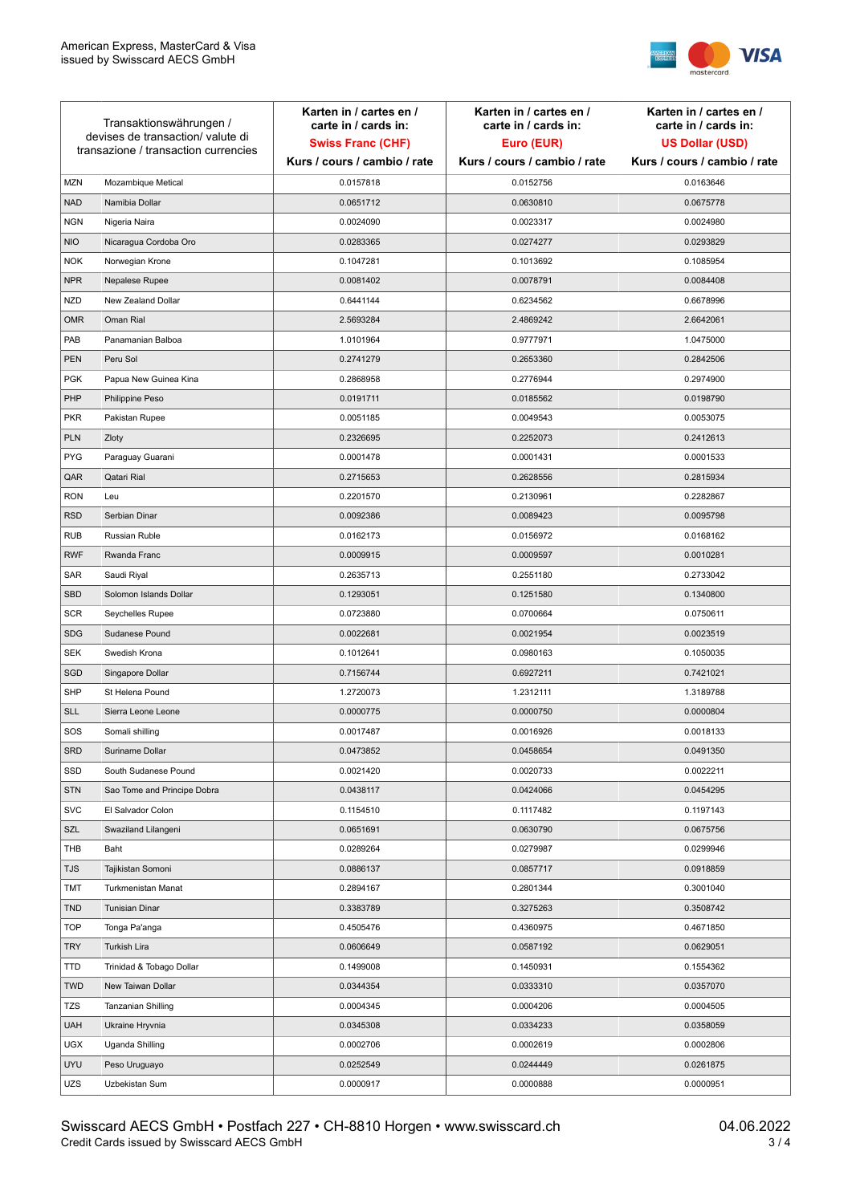

| Transaktionswährungen /<br>devises de transaction/valute di<br>transazione / transaction currencies |                             | Karten in / cartes en /<br>carte in / cards in:<br><b>Swiss Franc (CHF)</b><br>Kurs / cours / cambio / rate | Karten in / cartes en /<br>carte in / cards in:<br>Euro (EUR)<br>Kurs / cours / cambio / rate | Karten in / cartes en /<br>carte in / cards in:<br><b>US Dollar (USD)</b><br>Kurs / cours / cambio / rate |
|-----------------------------------------------------------------------------------------------------|-----------------------------|-------------------------------------------------------------------------------------------------------------|-----------------------------------------------------------------------------------------------|-----------------------------------------------------------------------------------------------------------|
|                                                                                                     |                             |                                                                                                             |                                                                                               |                                                                                                           |
| <b>MZN</b>                                                                                          | Mozambique Metical          | 0.0157818                                                                                                   | 0.0152756                                                                                     | 0.0163646                                                                                                 |
| <b>NAD</b>                                                                                          | Namibia Dollar              | 0.0651712                                                                                                   | 0.0630810                                                                                     | 0.0675778                                                                                                 |
| <b>NGN</b>                                                                                          | Nigeria Naira               | 0.0024090                                                                                                   | 0.0023317                                                                                     | 0.0024980                                                                                                 |
| <b>NIO</b>                                                                                          | Nicaragua Cordoba Oro       | 0.0283365                                                                                                   | 0.0274277                                                                                     | 0.0293829                                                                                                 |
| <b>NOK</b>                                                                                          | Norwegian Krone             | 0.1047281                                                                                                   | 0.1013692                                                                                     | 0.1085954                                                                                                 |
| <b>NPR</b>                                                                                          | Nepalese Rupee              | 0.0081402                                                                                                   | 0.0078791                                                                                     | 0.0084408                                                                                                 |
| <b>NZD</b>                                                                                          | New Zealand Dollar          | 0.6441144                                                                                                   | 0.6234562                                                                                     | 0.6678996                                                                                                 |
| <b>OMR</b>                                                                                          | Oman Rial                   | 2.5693284                                                                                                   | 2.4869242                                                                                     | 2.6642061                                                                                                 |
| PAB                                                                                                 | Panamanian Balboa           | 1.0101964                                                                                                   | 0.9777971                                                                                     | 1.0475000                                                                                                 |
| <b>PEN</b>                                                                                          | Peru Sol                    | 0.2741279                                                                                                   | 0.2653360                                                                                     | 0.2842506                                                                                                 |
| <b>PGK</b>                                                                                          | Papua New Guinea Kina       | 0.2868958                                                                                                   | 0.2776944                                                                                     | 0.2974900                                                                                                 |
| PHP                                                                                                 | Philippine Peso             | 0.0191711                                                                                                   | 0.0185562                                                                                     | 0.0198790                                                                                                 |
| <b>PKR</b>                                                                                          | Pakistan Rupee              | 0.0051185                                                                                                   | 0.0049543                                                                                     | 0.0053075                                                                                                 |
| <b>PLN</b>                                                                                          | Zloty                       | 0.2326695                                                                                                   | 0.2252073                                                                                     | 0.2412613                                                                                                 |
| <b>PYG</b>                                                                                          | Paraguay Guarani            | 0.0001478                                                                                                   | 0.0001431                                                                                     | 0.0001533                                                                                                 |
| QAR                                                                                                 | Qatari Rial                 | 0.2715653                                                                                                   | 0.2628556                                                                                     | 0.2815934                                                                                                 |
| <b>RON</b>                                                                                          | Leu                         | 0.2201570                                                                                                   | 0.2130961                                                                                     | 0.2282867                                                                                                 |
| <b>RSD</b>                                                                                          | Serbian Dinar               | 0.0092386                                                                                                   | 0.0089423                                                                                     | 0.0095798                                                                                                 |
| <b>RUB</b>                                                                                          | Russian Ruble               | 0.0162173                                                                                                   | 0.0156972                                                                                     | 0.0168162                                                                                                 |
| <b>RWF</b>                                                                                          | Rwanda Franc                | 0.0009915                                                                                                   | 0.0009597                                                                                     | 0.0010281                                                                                                 |
| SAR                                                                                                 | Saudi Riyal                 | 0.2635713                                                                                                   | 0.2551180                                                                                     | 0.2733042                                                                                                 |
| <b>SBD</b>                                                                                          | Solomon Islands Dollar      | 0.1293051                                                                                                   | 0.1251580                                                                                     | 0.1340800                                                                                                 |
| <b>SCR</b>                                                                                          | Seychelles Rupee            | 0.0723880                                                                                                   | 0.0700664                                                                                     | 0.0750611                                                                                                 |
| <b>SDG</b>                                                                                          | Sudanese Pound              | 0.0022681                                                                                                   | 0.0021954                                                                                     | 0.0023519                                                                                                 |
| <b>SEK</b>                                                                                          | Swedish Krona               | 0.1012641                                                                                                   | 0.0980163                                                                                     | 0.1050035                                                                                                 |
| SGD                                                                                                 | Singapore Dollar            | 0.7156744                                                                                                   | 0.6927211                                                                                     | 0.7421021                                                                                                 |
| <b>SHP</b>                                                                                          | St Helena Pound             | 1.2720073                                                                                                   | 1.2312111                                                                                     | 1.3189788                                                                                                 |
| <b>SLL</b>                                                                                          | Sierra Leone Leone          | 0.0000775                                                                                                   | 0.0000750                                                                                     | 0.0000804                                                                                                 |
| SOS                                                                                                 | Somali shilling             | 0.0017487                                                                                                   | 0.0016926                                                                                     | 0.0018133                                                                                                 |
| SRD                                                                                                 | Suriname Dollar             | 0.0473852                                                                                                   | 0.0458654                                                                                     | 0.0491350                                                                                                 |
| SSD                                                                                                 | South Sudanese Pound        | 0.0021420                                                                                                   | 0.0020733                                                                                     | 0.0022211                                                                                                 |
| <b>STN</b>                                                                                          | Sao Tome and Principe Dobra | 0.0438117                                                                                                   | 0.0424066                                                                                     | 0.0454295                                                                                                 |
| <b>SVC</b>                                                                                          | El Salvador Colon           | 0.1154510                                                                                                   | 0.1117482                                                                                     | 0.1197143                                                                                                 |
| SZL                                                                                                 | Swaziland Lilangeni         | 0.0651691                                                                                                   | 0.0630790                                                                                     | 0.0675756                                                                                                 |
| THB                                                                                                 | Baht                        | 0.0289264                                                                                                   | 0.0279987                                                                                     | 0.0299946                                                                                                 |
| TJS                                                                                                 | Tajikistan Somoni           | 0.0886137                                                                                                   | 0.0857717                                                                                     | 0.0918859                                                                                                 |
| <b>TMT</b>                                                                                          | Turkmenistan Manat          | 0.2894167                                                                                                   | 0.2801344                                                                                     | 0.3001040                                                                                                 |
| <b>TND</b>                                                                                          | <b>Tunisian Dinar</b>       | 0.3383789                                                                                                   | 0.3275263                                                                                     | 0.3508742                                                                                                 |
| <b>TOP</b>                                                                                          | Tonga Pa'anga               | 0.4505476                                                                                                   | 0.4360975                                                                                     | 0.4671850                                                                                                 |
| <b>TRY</b>                                                                                          | Turkish Lira                | 0.0606649                                                                                                   | 0.0587192                                                                                     | 0.0629051                                                                                                 |
| TTD                                                                                                 | Trinidad & Tobago Dollar    | 0.1499008                                                                                                   | 0.1450931                                                                                     | 0.1554362                                                                                                 |
| <b>TWD</b>                                                                                          | New Taiwan Dollar           | 0.0344354                                                                                                   | 0.0333310                                                                                     | 0.0357070                                                                                                 |
| <b>TZS</b>                                                                                          | Tanzanian Shilling          | 0.0004345                                                                                                   | 0.0004206                                                                                     | 0.0004505                                                                                                 |
| <b>UAH</b>                                                                                          | Ukraine Hryvnia             | 0.0345308                                                                                                   | 0.0334233                                                                                     | 0.0358059                                                                                                 |
| <b>UGX</b>                                                                                          | Uganda Shilling             | 0.0002706                                                                                                   | 0.0002619                                                                                     | 0.0002806                                                                                                 |
| <b>UYU</b>                                                                                          | Peso Uruguayo               | 0.0252549                                                                                                   | 0.0244449                                                                                     | 0.0261875                                                                                                 |
| UZS                                                                                                 | Uzbekistan Sum              | 0.0000917                                                                                                   | 0.0000888                                                                                     | 0.0000951                                                                                                 |